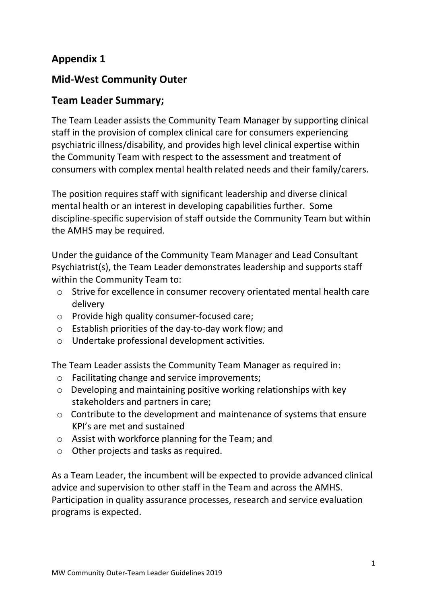## **Appendix 1**

## **Mid-West Community Outer**

### **Team Leader Summary;**

The Team Leader assists the Community Team Manager by supporting clinical staff in the provision of complex clinical care for consumers experiencing psychiatric illness/disability, and provides high level clinical expertise within the Community Team with respect to the assessment and treatment of consumers with complex mental health related needs and their family/carers.

The position requires staff with significant leadership and diverse clinical mental health or an interest in developing capabilities further. Some discipline-specific supervision of staff outside the Community Team but within the AMHS may be required.

Under the guidance of the Community Team Manager and Lead Consultant Psychiatrist(s), the Team Leader demonstrates leadership and supports staff within the Community Team to:

- o Strive for excellence in consumer recovery orientated mental health care delivery
- o Provide high quality consumer-focused care;
- o Establish priorities of the day-to-day work flow; and
- o Undertake professional development activities.

The Team Leader assists the Community Team Manager as required in:

- o Facilitating change and service improvements;
- o Developing and maintaining positive working relationships with key stakeholders and partners in care;
- o Contribute to the development and maintenance of systems that ensure KPI's are met and sustained
- o Assist with workforce planning for the Team; and
- o Other projects and tasks as required.

As a Team Leader, the incumbent will be expected to provide advanced clinical advice and supervision to other staff in the Team and across the AMHS. Participation in quality assurance processes, research and service evaluation programs is expected.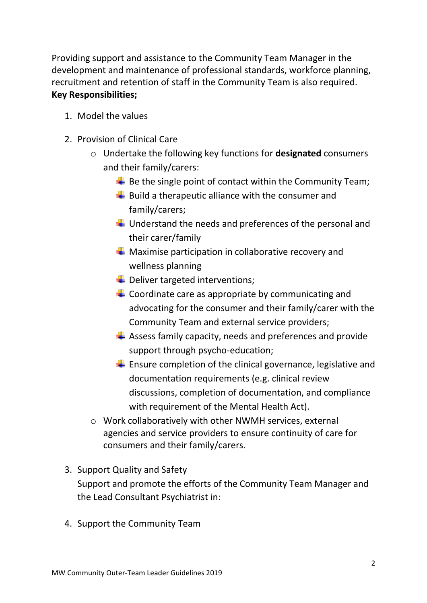Providing support and assistance to the Community Team Manager in the development and maintenance of professional standards, workforce planning, recruitment and retention of staff in the Community Team is also required. **Key Responsibilities;**

- 1. Model the values
- 2. Provision of Clinical Care
	- o Undertake the following key functions for **designated** consumers and their family/carers:
		- $\bigstar$  Be the single point of contact within the Community Team;
		- $\overline{\phantom{a}}$  Build a therapeutic alliance with the consumer and family/carers;
		- $\downarrow$  Understand the needs and preferences of the personal and their carer/family
		- $\leftarrow$  Maximise participation in collaborative recovery and wellness planning
		- $\bigstar$  Deliver targeted interventions;
		- $\leftarrow$  Coordinate care as appropriate by communicating and advocating for the consumer and their family/carer with the Community Team and external service providers;
		- $\frac{1}{2}$  Assess family capacity, needs and preferences and provide support through psycho-education;
		- $\overline{\textbf{F}}$  Ensure completion of the clinical governance, legislative and documentation requirements (e.g. clinical review discussions, completion of documentation, and compliance with requirement of the Mental Health Act).
	- o Work collaboratively with other NWMH services, external agencies and service providers to ensure continuity of care for consumers and their family/carers.
- 3. Support Quality and Safety Support and promote the efforts of the Community Team Manager and the Lead Consultant Psychiatrist in:
- 4. Support the Community Team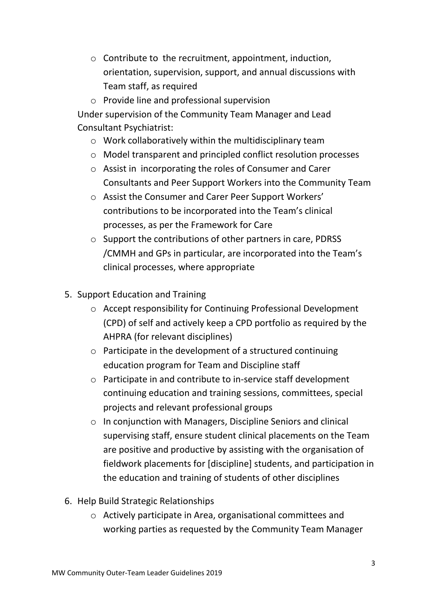- o Contribute to the recruitment, appointment, induction, orientation, supervision, support, and annual discussions with Team staff, as required
- o Provide line and professional supervision

Under supervision of the Community Team Manager and Lead Consultant Psychiatrist:

- o Work collaboratively within the multidisciplinary team
- o Model transparent and principled conflict resolution processes
- o Assist in incorporating the roles of Consumer and Carer Consultants and Peer Support Workers into the Community Team
- o Assist the Consumer and Carer Peer Support Workers' contributions to be incorporated into the Team's clinical processes, as per the Framework for Care
- o Support the contributions of other partners in care, PDRSS /CMMH and GPs in particular, are incorporated into the Team's clinical processes, where appropriate
- 5. Support Education and Training
	- o Accept responsibility for Continuing Professional Development (CPD) of self and actively keep a CPD portfolio as required by the AHPRA (for relevant disciplines)
	- o Participate in the development of a structured continuing education program for Team and Discipline staff
	- o Participate in and contribute to in-service staff development continuing education and training sessions, committees, special projects and relevant professional groups
	- o In conjunction with Managers, Discipline Seniors and clinical supervising staff, ensure student clinical placements on the Team are positive and productive by assisting with the organisation of fieldwork placements for [discipline] students, and participation in the education and training of students of other disciplines
- 6. Help Build Strategic Relationships
	- o Actively participate in Area, organisational committees and working parties as requested by the Community Team Manager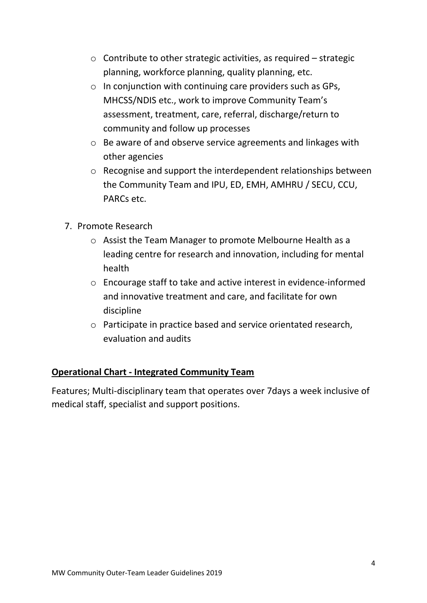- $\circ$  Contribute to other strategic activities, as required strategic planning, workforce planning, quality planning, etc.
- $\circ$  In conjunction with continuing care providers such as GPs, MHCSS/NDIS etc., work to improve Community Team's assessment, treatment, care, referral, discharge/return to community and follow up processes
- o Be aware of and observe service agreements and linkages with other agencies
- o Recognise and support the interdependent relationships between the Community Team and IPU, ED, EMH, AMHRU / SECU, CCU, PARCs etc.
- 7. Promote Research
	- o Assist the Team Manager to promote Melbourne Health as a leading centre for research and innovation, including for mental health
	- o Encourage staff to take and active interest in evidence-informed and innovative treatment and care, and facilitate for own discipline
	- o Participate in practice based and service orientated research, evaluation and audits

### **Operational Chart - Integrated Community Team**

Features; Multi-disciplinary team that operates over 7days a week inclusive of medical staff, specialist and support positions.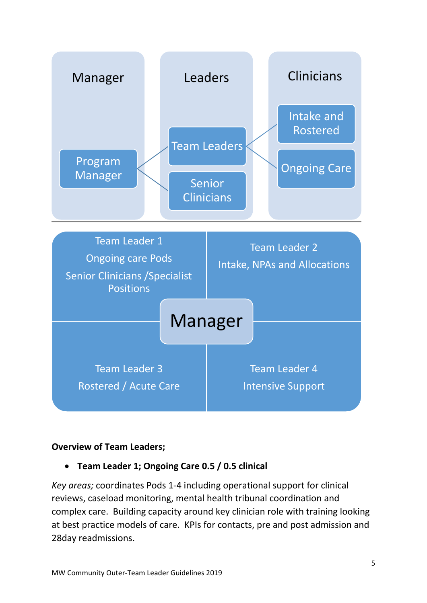

#### **Overview of Team Leaders;**

#### **Team Leader 1; Ongoing Care 0.5 / 0.5 clinical**

*Key areas;* coordinates Pods 1-4 including operational support for clinical reviews, caseload monitoring, mental health tribunal coordination and complex care. Building capacity around key clinician role with training looking at best practice models of care. KPIs for contacts, pre and post admission and 28day readmissions.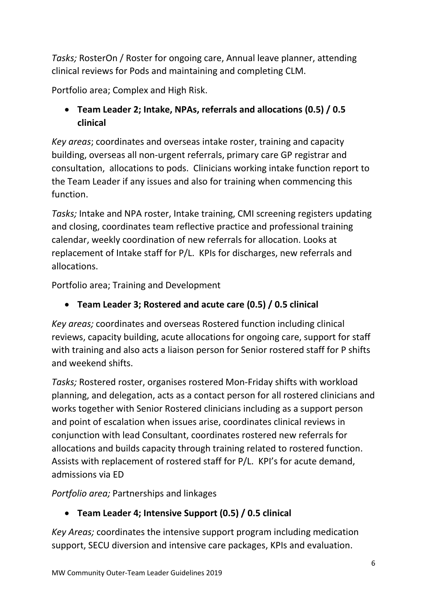*Tasks;* RosterOn / Roster for ongoing care, Annual leave planner, attending clinical reviews for Pods and maintaining and completing CLM.

Portfolio area; Complex and High Risk.

# **Team Leader 2; Intake, NPAs, referrals and allocations (0.5) / 0.5 clinical**

*Key areas*; coordinates and overseas intake roster, training and capacity building, overseas all non-urgent referrals, primary care GP registrar and consultation, allocations to pods. Clinicians working intake function report to the Team Leader if any issues and also for training when commencing this function.

*Tasks;* Intake and NPA roster, Intake training, CMI screening registers updating and closing, coordinates team reflective practice and professional training calendar, weekly coordination of new referrals for allocation. Looks at replacement of Intake staff for P/L. KPIs for discharges, new referrals and allocations.

Portfolio area; Training and Development

# **Team Leader 3; Rostered and acute care (0.5) / 0.5 clinical**

*Key areas;* coordinates and overseas Rostered function including clinical reviews, capacity building, acute allocations for ongoing care, support for staff with training and also acts a liaison person for Senior rostered staff for P shifts and weekend shifts.

*Tasks;* Rostered roster, organises rostered Mon-Friday shifts with workload planning, and delegation, acts as a contact person for all rostered clinicians and works together with Senior Rostered clinicians including as a support person and point of escalation when issues arise, coordinates clinical reviews in conjunction with lead Consultant, coordinates rostered new referrals for allocations and builds capacity through training related to rostered function. Assists with replacement of rostered staff for P/L. KPI's for acute demand, admissions via ED

*Portfolio area;* Partnerships and linkages

# **Team Leader 4; Intensive Support (0.5) / 0.5 clinical**

*Key Areas;* coordinates the intensive support program including medication support, SECU diversion and intensive care packages, KPIs and evaluation.